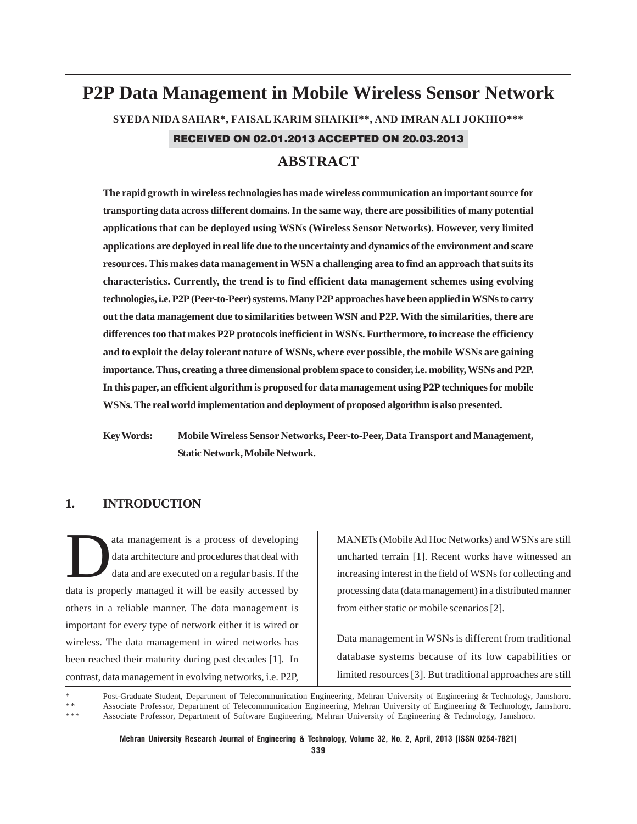# **P2P Data Management in Mobile Wireless Sensor Network SYEDA NIDA SAHAR\*, FAISAL KARIM SHAIKH\*\*, AND IMRAN ALI JOKHIO\*\*\*** RECEIVED ON 02.01.2013 ACCEPTED ON 20.03.2013

# **ABSTRACT**

**The rapid growth in wireless technologies has made wireless communication an important source for transporting data across different domains. In the same way, there are possibilities of many potential applications that can be deployed using WSNs (Wireless Sensor Networks). However, very limited applications are deployed in real life due to the uncertainty and dynamics of the environment and scare resources. This makes data management in WSN a challenging area to find an approach that suits its characteristics. Currently, the trend is to find efficient data management schemes using evolving technologies, i.e. P2P (Peer-to-Peer) systems. Many P2P approaches have been applied in WSNs to carry out the data management due to similarities between WSN and P2P. With the similarities, there are differences too that makes P2P protocols inefficient in WSNs. Furthermore, to increase the efficiency and to exploit the delay tolerant nature of WSNs, where ever possible, the mobile WSNs are gaining importance. Thus, creating a three dimensional problem space to consider, i.e. mobility, WSNs and P2P. In this paper, an efficient algorithm is proposed for data management using P2P techniques for mobile WSNs. The real world implementation and deployment of proposed algorithm is also presented.**

**Key Words: Mobile Wireless Sensor Networks, Peer-to-Peer, Data Transport and Management, Static Network, Mobile Network.**

## **1. INTRODUCTION**

ata management is a process of developing data architecture and procedures that deal with data and are executed on a regular basis. If the data is properly managed it will be easily accessed by others in a reliable manner. The data management is important for every type of network either it is wired or wireless. The data management in wired networks has been reached their maturity during past decades [1]. In contrast, data management in evolving networks, i.e. P2P,

MANETs (Mobile Ad Hoc Networks) and WSNs are still uncharted terrain [1]. Recent works have witnessed an increasing interest in the field of WSNs for collecting and processing data (data management) in a distributed manner from either static or mobile scenarios [2].

Data management in WSNs is different from traditional database systems because of its low capabilities or limited resources [3]. But traditional approaches are still

Post-Graduate Student, Department of Telecommunication Engineering, Mehran University of Engineering & Technology, Jamshoro. \*\* Associate Professor, Department of Telecommunication Engineering, Mehran University of Engineering & Technology, Jamshoro.<br>\*\*\* Associate Professor, Department of Software Engineering, Mehran University of Engineering & Associate Professor, Department of Software Engineering, Mehran University of Engineering & Technology, Jamshoro.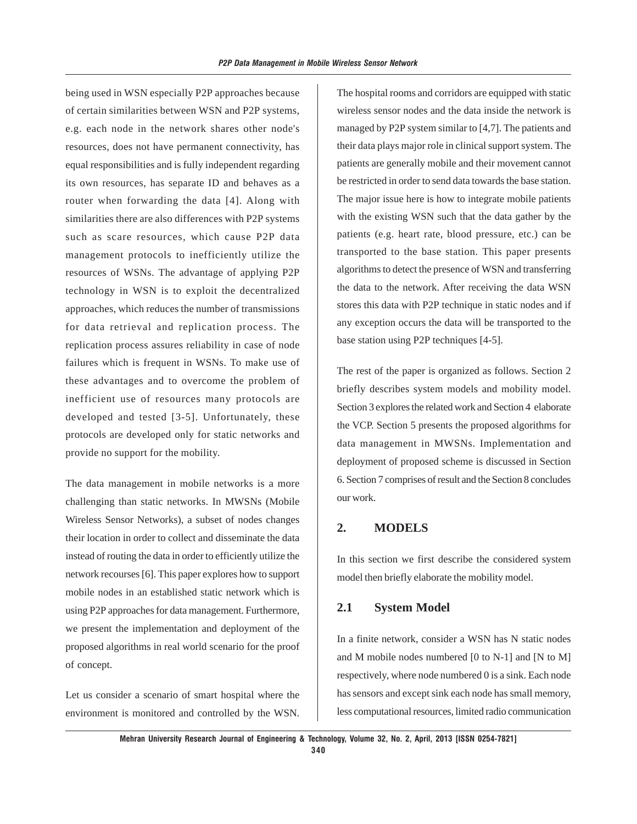being used in WSN especially P2P approaches because of certain similarities between WSN and P2P systems, e.g. each node in the network shares other node's resources, does not have permanent connectivity, has equal responsibilities and is fully independent regarding its own resources, has separate ID and behaves as a router when forwarding the data [4]. Along with similarities there are also differences with P2P systems such as scare resources, which cause P2P data management protocols to inefficiently utilize the resources of WSNs. The advantage of applying P2P technology in WSN is to exploit the decentralized approaches, which reduces the number of transmissions for data retrieval and replication process. The replication process assures reliability in case of node failures which is frequent in WSNs. To make use of these advantages and to overcome the problem of inefficient use of resources many protocols are developed and tested [3-5]. Unfortunately, these protocols are developed only for static networks and provide no support for the mobility.

The data management in mobile networks is a more challenging than static networks. In MWSNs (Mobile Wireless Sensor Networks), a subset of nodes changes their location in order to collect and disseminate the data instead of routing the data in order to efficiently utilize the network recourses [6]. This paper explores how to support mobile nodes in an established static network which is using P2P approaches for data management. Furthermore, we present the implementation and deployment of the proposed algorithms in real world scenario for the proof of concept.

Let us consider a scenario of smart hospital where the environment is monitored and controlled by the WSN. The hospital rooms and corridors are equipped with static wireless sensor nodes and the data inside the network is managed by P2P system similar to [4,7]. The patients and their data plays major role in clinical support system. The patients are generally mobile and their movement cannot be restricted in order to send data towards the base station. The major issue here is how to integrate mobile patients with the existing WSN such that the data gather by the patients (e.g. heart rate, blood pressure, etc.) can be transported to the base station. This paper presents algorithms to detect the presence of WSN and transferring the data to the network. After receiving the data WSN stores this data with P2P technique in static nodes and if any exception occurs the data will be transported to the base station using P2P techniques [4-5].

The rest of the paper is organized as follows. Section 2 briefly describes system models and mobility model. Section 3 explores the related work and Section 4 elaborate the VCP. Section 5 presents the proposed algorithms for data management in MWSNs. Implementation and deployment of proposed scheme is discussed in Section 6. Section 7 comprises of result and the Section 8 concludes our work.

### **2. MODELS**

In this section we first describe the considered system model then briefly elaborate the mobility model.

### **2.1 System Model**

In a finite network, consider a WSN has N static nodes and M mobile nodes numbered [0 to N-1] and [N to M] respectively, where node numbered 0 is a sink. Each node has sensors and except sink each node has small memory, less computational resources, limited radio communication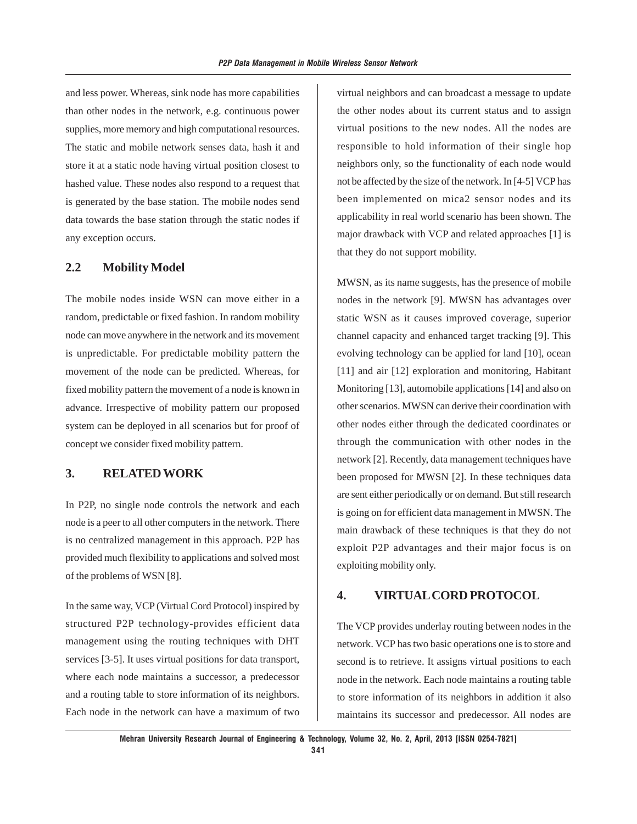and less power. Whereas, sink node has more capabilities than other nodes in the network, e.g. continuous power supplies, more memory and high computational resources. The static and mobile network senses data, hash it and store it at a static node having virtual position closest to hashed value. These nodes also respond to a request that is generated by the base station. The mobile nodes send data towards the base station through the static nodes if any exception occurs.

### **2.2 Mobility Model**

The mobile nodes inside WSN can move either in a random, predictable or fixed fashion. In random mobility node can move anywhere in the network and its movement is unpredictable. For predictable mobility pattern the movement of the node can be predicted. Whereas, for fixed mobility pattern the movement of a node is known in advance. Irrespective of mobility pattern our proposed system can be deployed in all scenarios but for proof of concept we consider fixed mobility pattern.

### **3. RELATED WORK**

In P2P, no single node controls the network and each node is a peer to all other computers in the network. There is no centralized management in this approach. P2P has provided much flexibility to applications and solved most of the problems of WSN [8].

In the same way, VCP (Virtual Cord Protocol) inspired by structured P2P technology-provides efficient data management using the routing techniques with DHT services [3-5]. It uses virtual positions for data transport, where each node maintains a successor, a predecessor and a routing table to store information of its neighbors. Each node in the network can have a maximum of two virtual neighbors and can broadcast a message to update the other nodes about its current status and to assign virtual positions to the new nodes. All the nodes are responsible to hold information of their single hop neighbors only, so the functionality of each node would not be affected by the size of the network. In [4-5] VCP has been implemented on mica2 sensor nodes and its applicability in real world scenario has been shown. The major drawback with VCP and related approaches [1] is that they do not support mobility.

MWSN, as its name suggests, has the presence of mobile nodes in the network [9]. MWSN has advantages over static WSN as it causes improved coverage, superior channel capacity and enhanced target tracking [9]. This evolving technology can be applied for land [10], ocean [11] and air [12] exploration and monitoring, Habitant Monitoring [13], automobile applications [14] and also on other scenarios. MWSN can derive their coordination with other nodes either through the dedicated coordinates or through the communication with other nodes in the network [2]. Recently, data management techniques have been proposed for MWSN [2]. In these techniques data are sent either periodically or on demand. But still research is going on for efficient data management in MWSN. The main drawback of these techniques is that they do not exploit P2P advantages and their major focus is on exploiting mobility only.

### **4. VIRTUAL CORD PROTOCOL**

The VCP provides underlay routing between nodes in the network. VCP has two basic operations one is to store and second is to retrieve. It assigns virtual positions to each node in the network. Each node maintains a routing table to store information of its neighbors in addition it also maintains its successor and predecessor. All nodes are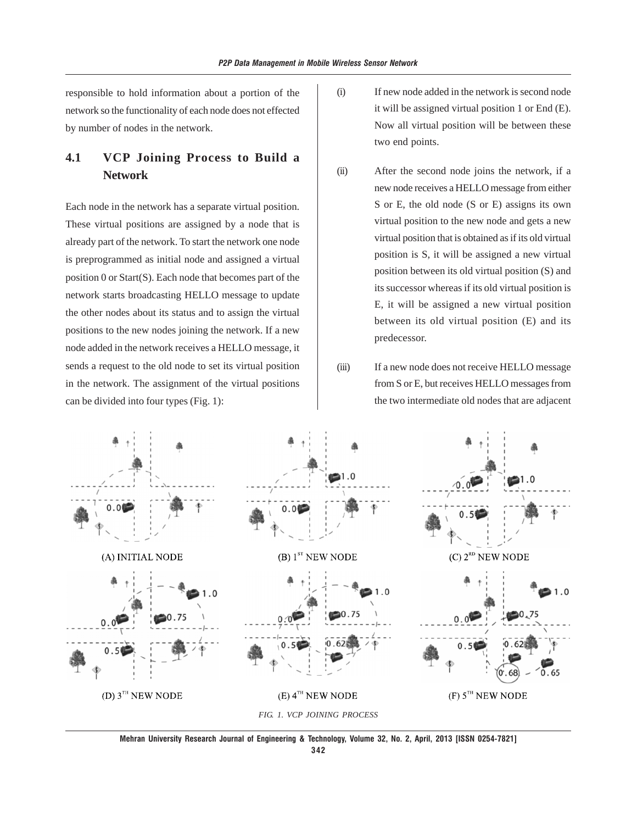responsible to hold information about a portion of the network so the functionality of each node does not effected by number of nodes in the network.

# **4.1 VCP Joining Process to Build a Network**

Each node in the network has a separate virtual position. These virtual positions are assigned by a node that is already part of the network. To start the network one node is preprogrammed as initial node and assigned a virtual position 0 or Start(S). Each node that becomes part of the network starts broadcasting HELLO message to update the other nodes about its status and to assign the virtual positions to the new nodes joining the network. If a new node added in the network receives a HELLO message, it sends a request to the old node to set its virtual position in the network. The assignment of the virtual positions can be divided into four types (Fig. 1):

- (i) If new node added in the network is second node it will be assigned virtual position 1 or End (E). Now all virtual position will be between these two end points.
- (ii) After the second node joins the network, if a new node receives a HELLO message from either S or E, the old node (S or E) assigns its own virtual position to the new node and gets a new virtual position that is obtained as if its old virtual position is S, it will be assigned a new virtual position between its old virtual position (S) and its successor whereas if its old virtual position is E, it will be assigned a new virtual position between its old virtual position (E) and its predecessor.
- (iii) If a new node does not receive HELLO message from S or E, but receives HELLO messages from the two intermediate old nodes that are adjacent



**Mehran University Research Journal of Engineering & Technology, Volume 32, No. 2, April, 2013 [ISSN 0254-7821]**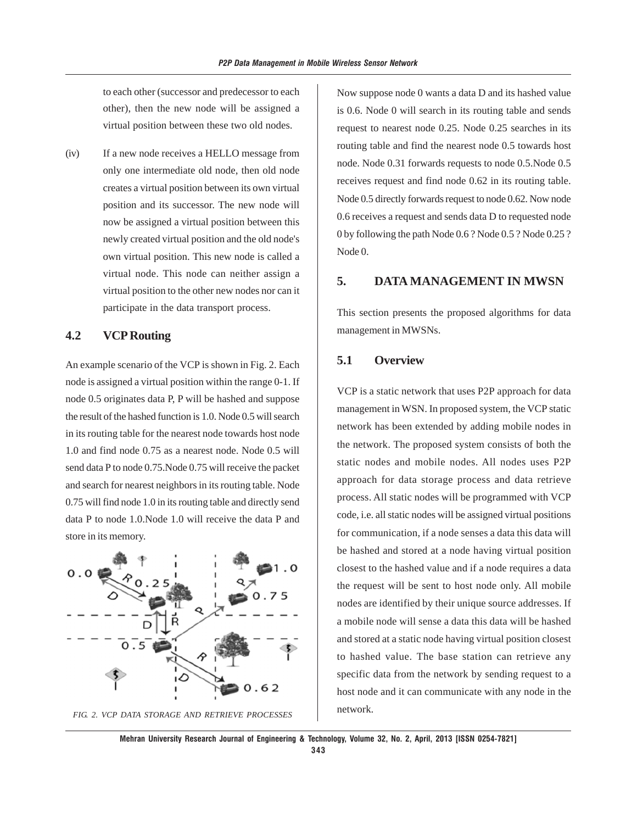to each other (successor and predecessor to each other), then the new node will be assigned a virtual position between these two old nodes.

(iv) If a new node receives a HELLO message from only one intermediate old node, then old node creates a virtual position between its own virtual position and its successor. The new node will now be assigned a virtual position between this newly created virtual position and the old node's own virtual position. This new node is called a virtual node. This node can neither assign a virtual position to the other new nodes nor can it participate in the data transport process.

### **4.2 VCP Routing**

An example scenario of the VCP is shown in Fig. 2. Each node is assigned a virtual position within the range 0-1. If node 0.5 originates data P, P will be hashed and suppose the result of the hashed function is 1.0. Node 0.5 will search in its routing table for the nearest node towards host node 1.0 and find node 0.75 as a nearest node. Node 0.5 will send data P to node 0.75.Node 0.75 will receive the packet and search for nearest neighbors in its routing table. Node 0.75 will find node 1.0 in its routing table and directly send data P to node 1.0.Node 1.0 will receive the data P and store in its memory.



Now suppose node 0 wants a data D and its hashed value is 0.6. Node 0 will search in its routing table and sends request to nearest node 0.25. Node 0.25 searches in its routing table and find the nearest node 0.5 towards host node. Node 0.31 forwards requests to node 0.5.Node 0.5 receives request and find node 0.62 in its routing table. Node 0.5 directly forwards request to node 0.62. Now node 0.6 receives a request and sends data D to requested node 0 by following the path Node 0.6 ? Node 0.5 ? Node 0.25 ? Node 0.

### **5. DATA MANAGEMENT IN MWSN**

This section presents the proposed algorithms for data management in MWSNs.

### **5.1 Overview**

VCP is a static network that uses P2P approach for data management in WSN. In proposed system, the VCP static network has been extended by adding mobile nodes in the network. The proposed system consists of both the static nodes and mobile nodes. All nodes uses P2P approach for data storage process and data retrieve process. All static nodes will be programmed with VCP code, i.e. all static nodes will be assigned virtual positions for communication, if a node senses a data this data will be hashed and stored at a node having virtual position closest to the hashed value and if a node requires a data the request will be sent to host node only. All mobile nodes are identified by their unique source addresses. If a mobile node will sense a data this data will be hashed and stored at a static node having virtual position closest to hashed value. The base station can retrieve any specific data from the network by sending request to a host node and it can communicate with any node in the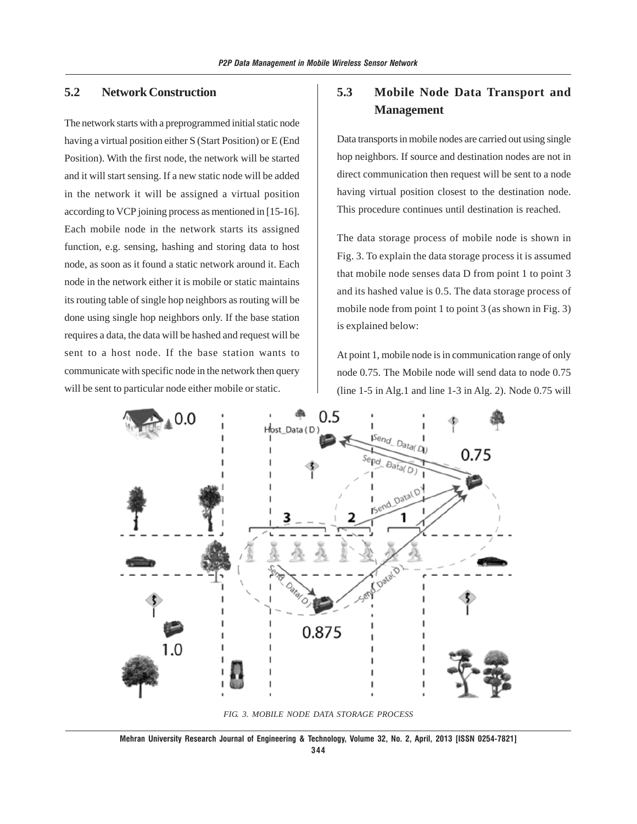# **5.2 Network Construction**

The network starts with a preprogrammed initial static node having a virtual position either S (Start Position) or E (End Position). With the first node, the network will be started and it will start sensing. If a new static node will be added in the network it will be assigned a virtual position according to VCP joining process as mentioned in [15-16]. Each mobile node in the network starts its assigned function, e.g. sensing, hashing and storing data to host node, as soon as it found a static network around it. Each node in the network either it is mobile or static maintains its routing table of single hop neighbors as routing will be done using single hop neighbors only. If the base station requires a data, the data will be hashed and request will be sent to a host node. If the base station wants to communicate with specific node in the network then query will be sent to particular node either mobile or static.

# **5.3 Mobile Node Data Transport and Management**

Data transports in mobile nodes are carried out using single hop neighbors. If source and destination nodes are not in direct communication then request will be sent to a node having virtual position closest to the destination node. This procedure continues until destination is reached.

The data storage process of mobile node is shown in Fig. 3. To explain the data storage process it is assumed that mobile node senses data D from point 1 to point 3 and its hashed value is 0.5. The data storage process of mobile node from point 1 to point 3 (as shown in Fig. 3) is explained below:

At point 1, mobile node is in communication range of only node 0.75. The Mobile node will send data to node 0.75 (line 1-5 in Alg.1 and line 1-3 in Alg. 2). Node 0.75 will



*FIG. 3. MOBILE NODE DATA STORAGE PROCESS*

**Mehran University Research Journal of Engineering & Technology, Volume 32, No. 2, April, 2013 [ISSN 0254-7821]**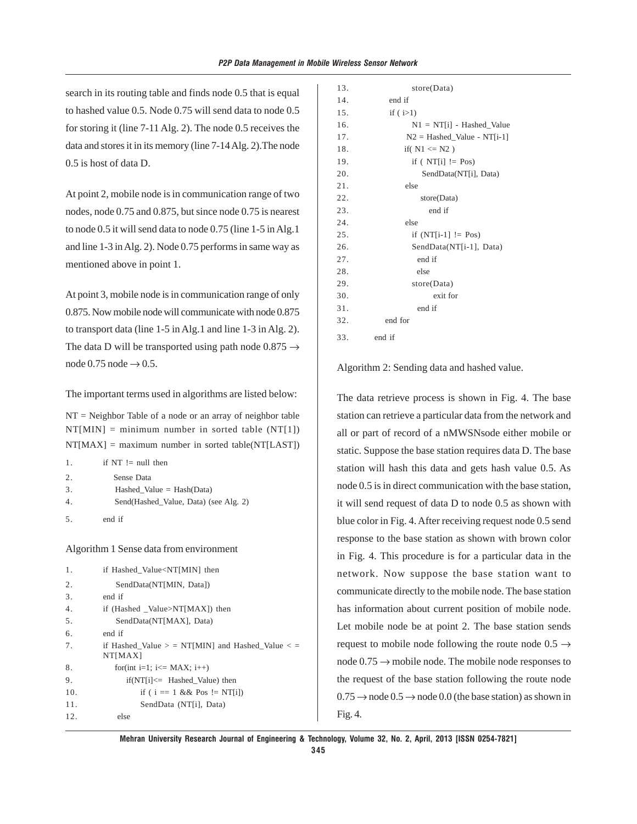search in its routing table and finds node 0.5 that is equal to hashed value 0.5. Node 0.75 will send data to node 0.5 for storing it (line 7-11 Alg. 2). The node 0.5 receives the data and stores it in its memory (line 7-14 Alg. 2).The node 0.5 is host of data D.

At point 2, mobile node is in communication range of two nodes, node 0.75 and 0.875, but since node 0.75 is nearest to node 0.5 it will send data to node 0.75 (line 1-5 in Alg.1 and line 1-3 in Alg. 2). Node 0.75 performs in same way as mentioned above in point 1.

At point 3, mobile node is in communication range of only 0.875. Now mobile node will communicate with node 0.875 to transport data (line 1-5 in Alg.1 and line 1-3 in Alg. 2). The data D will be transported using path node  $0.875 \rightarrow$ node  $0.75$  node  $\rightarrow 0.5$ .

The important terms used in algorithms are listed below:

 $NT = Neighbour$  Table of a node or an array of neighbor table  $NT[MIN] = minimum number in sorted table (NT[1])$  $NT[MAX] = maximum number in sorted table(NT[LAST])$ 

| 1. | if $NT := null$ then                  |
|----|---------------------------------------|
| 2. | Sense Data                            |
| 3. | Hashed Value = $Hash(Data)$           |
| 4. | Send(Hashed Value, Data) (see Alg. 2) |
| 5. | end if                                |

Algorithm 1 Sense data from environment

| 1.  | if Hashed Value <nt[min] th="" then<=""></nt[min]>              |
|-----|-----------------------------------------------------------------|
| 2.  | SendData(NT[MIN, Data])                                         |
| 3.  | end if                                                          |
| 4.  | if (Hashed Value>NT[MAX]) then                                  |
| 5.  | SendData(NT[MAX], Data)                                         |
| 6.  | end if                                                          |
| 7.  | if Hashed Value $>$ = NT[MIN] and Hashed Value $<$ =<br>NT[MAX] |
| 8.  | for(int i=1; i<= MAX; i++)                                      |
| 9.  | $if(NT[i] \leq Hashed$ [Value) then                             |
| 10. | if ( $i == 1$ & & Pos != NT[i])                                 |
| 11. | SendData (NT[i], Data)                                          |
| 12. | else                                                            |

| 13. | store(Data)                   |
|-----|-------------------------------|
| 14. | end if                        |
| 15. | if $(i>1)$                    |
| 16. | $NI = NT[i] - Hashed_Yalue$   |
| 17. | $N2 = Hashed$ Value - NT[i-1] |
| 18. | if( $N1 \leq N2$ )            |
| 19. | if ( $NT[i]$ != Pos)          |
| 20. | SendData(NT[i], Data)         |
| 21. | else                          |
| 22. | store(Data)                   |
| 23. | end if                        |
| 24. | else                          |
| 25. | if $(NT[i-1] := Pos)$         |
| 26. | SendData(NT[i-1], Data)       |
| 27. | end if                        |
| 28. | else                          |
| 29. | store(Data)                   |
| 30. | exit for                      |
| 31. | end if                        |
| 32. | end for                       |
| 33. | end if                        |
|     |                               |

Algorithm 2: Sending data and hashed value.

The data retrieve process is shown in Fig. 4. The base station can retrieve a particular data from the network and all or part of record of a nMWSNsode either mobile or static. Suppose the base station requires data D. The base station will hash this data and gets hash value 0.5. As node 0.5 is in direct communication with the base station, it will send request of data D to node 0.5 as shown with blue color in Fig. 4. After receiving request node 0.5 send response to the base station as shown with brown color in Fig. 4. This procedure is for a particular data in the network. Now suppose the base station want to communicate directly to the mobile node. The base station has information about current position of mobile node. Let mobile node be at point 2. The base station sends request to mobile node following the route node  $0.5 \rightarrow$ node  $0.75 \rightarrow$  mobile node. The mobile node responses to the request of the base station following the route node  $0.75 \rightarrow$  node  $0.5 \rightarrow$  node 0.0 (the base station) as shown in Fig. 4.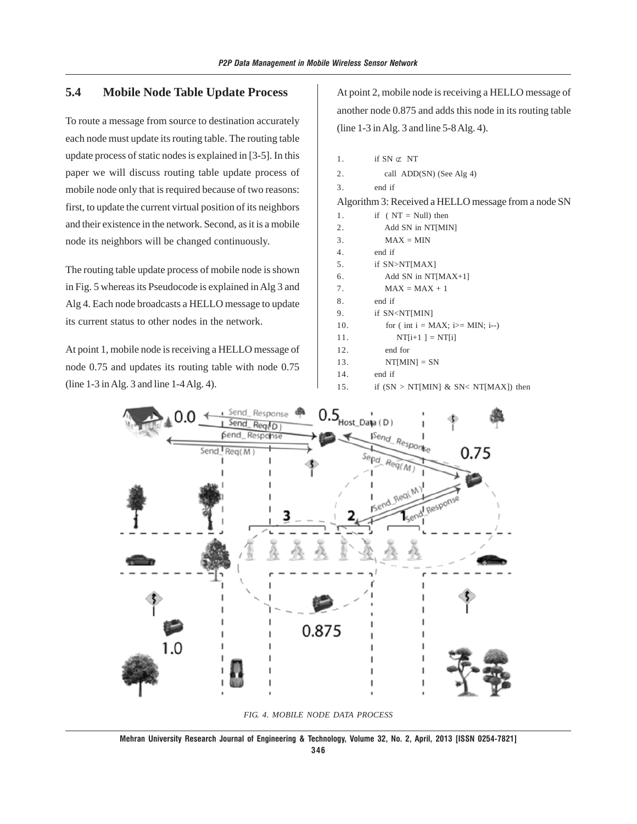# **5.4 Mobile Node Table Update Process**

To route a message from source to destination accurately each node must update its routing table. The routing table update process of static nodes is explained in [3-5]. In this paper we will discuss routing table update process of mobile node only that is required because of two reasons: first, to update the current virtual position of its neighbors and their existence in the network. Second, as it is a mobile node its neighbors will be changed continuously.

The routing table update process of mobile node is shown in Fig. 5 whereas its Pseudocode is explained in Alg 3 and Alg 4. Each node broadcasts a HELLO message to update its current status to other nodes in the network.

At point 1, mobile node is receiving a HELLO message of node 0.75 and updates its routing table with node 0.75 (line 1-3 in Alg. 3 and line 1-4 Alg. 4).

At point 2, mobile node is receiving a HELLO message of another node 0.875 and adds this node in its routing table (line 1-3 in Alg. 3 and line 5-8 Alg. 4).

| 1.                                                   | if $SN \subset \mathbb{N}$             |  |  |
|------------------------------------------------------|----------------------------------------|--|--|
| 2.                                                   | call ADD(SN) (See Alg 4)               |  |  |
| 3.                                                   | end if                                 |  |  |
| Algorithm 3: Received a HELLO message from a node SN |                                        |  |  |
| 1.                                                   | if $(NT = Null)$ then                  |  |  |
| 2.                                                   | Add SN in NT[MIN]                      |  |  |
| 3.                                                   | $MAX = MIN$                            |  |  |
| 4.                                                   | end if                                 |  |  |
| 5.                                                   | if SN>NT[MAX]                          |  |  |
| 6.                                                   | Add SN in $NT[MAX+1]$                  |  |  |
| 7.                                                   | $MAX = MAX + 1$                        |  |  |
| 8.                                                   | end if                                 |  |  |
| 9.                                                   | if SN <nt[min]< td=""></nt[min]<>      |  |  |
| 10.                                                  | for (int $i = MAX$ ; i $>= MIN$ ; i--) |  |  |
| 11.                                                  | $NT[i+1] = NT[i]$                      |  |  |
| 12.                                                  | end for                                |  |  |
| 13.                                                  | $NT[MIN] = SN$                         |  |  |
| 14.                                                  | end if                                 |  |  |
| 15.                                                  | if $(SN > NT[MIN] & SN < NT[MAX]$ then |  |  |



*FIG. 4. MOBILE NODE DATA PROCESS*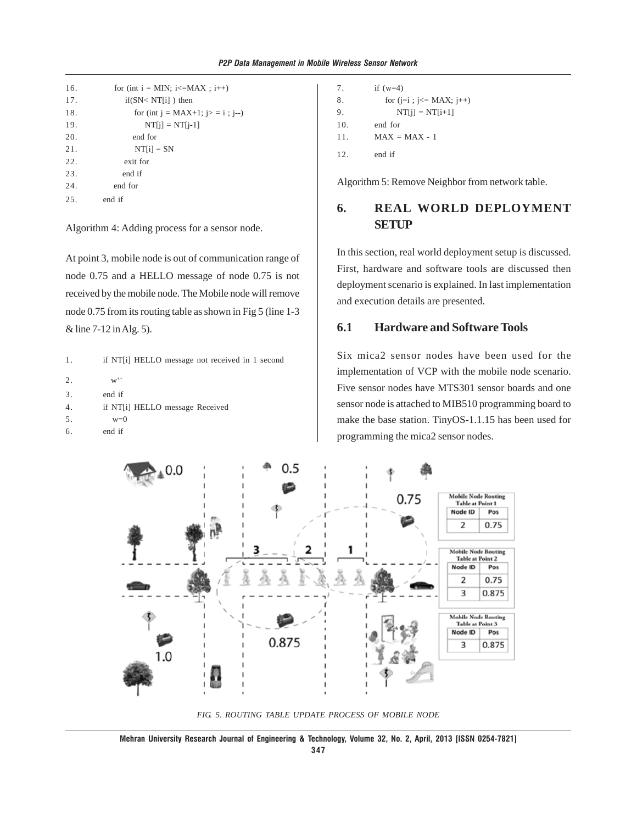```
16. for (int i = MIN; i \leq MAX; i^{++})
17. if(SN< NT[i]) then
18. for (int j = MAX+1; j>= i; j=)
19. NT[j] = NT[j-1]20. end for
21. NT[i] = SN22. exit for
23. end if
24. end for
25. end if
```
Algorithm 4: Adding process for a sensor node.

At point 3, mobile node is out of communication range of node 0.75 and a HELLO message of node 0.75 is not received by the mobile node. The Mobile node will remove node 0.75 from its routing table as shown in Fig 5 (line 1-3 & line 7-12 in Alg. 5).

1. if NT[i] HELLO message not received in 1 second

```
2. w^{++}3. end if
4. if NT[i] HELLO message Received
5. w=0
6. end if
```

```
7. if (w=4)
8. for (j=i ; j<=MAX; j++)9. NT[i] = NT[i+1]10. end for
11. MAX = MAX - 112. end if
```
Algorithm 5: Remove Neighbor from network table.

# **6. REAL WORLD DEPLOYMENT SETUP**

In this section, real world deployment setup is discussed. First, hardware and software tools are discussed then deployment scenario is explained. In last implementation and execution details are presented.

### **6.1 Hardware and Software Tools**

Six mica2 sensor nodes have been used for the implementation of VCP with the mobile node scenario. Five sensor nodes have MTS301 sensor boards and one sensor node is attached to MIB510 programming board to make the base station. TinyOS-1.1.15 has been used for programming the mica2 sensor nodes.



*FIG. 5. ROUTING TABLE UPDATE PROCESS OF MOBILE NODE*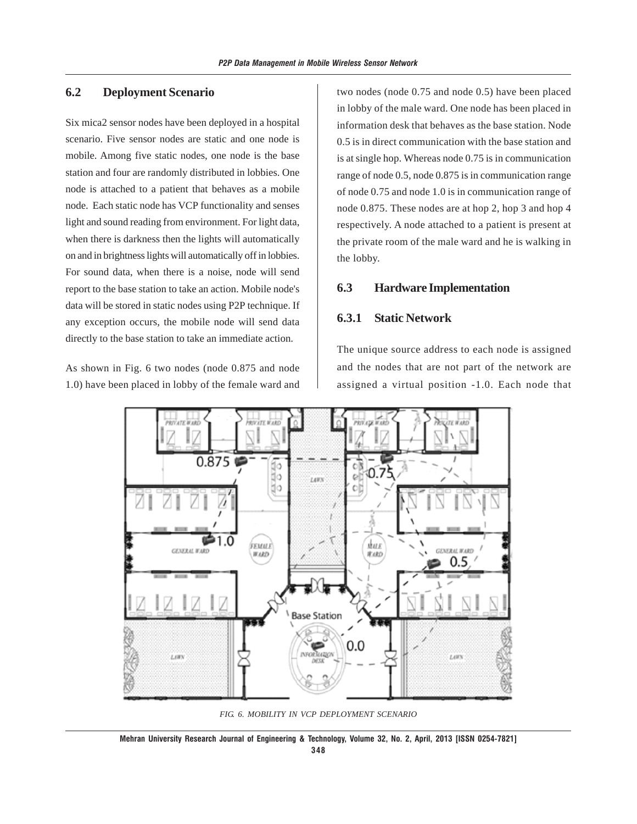### **6.2 Deployment Scenario**

Six mica2 sensor nodes have been deployed in a hospital scenario. Five sensor nodes are static and one node is mobile. Among five static nodes, one node is the base station and four are randomly distributed in lobbies. One node is attached to a patient that behaves as a mobile node. Each static node has VCP functionality and senses light and sound reading from environment. For light data, when there is darkness then the lights will automatically on and in brightness lights will automatically off in lobbies. For sound data, when there is a noise, node will send report to the base station to take an action. Mobile node's data will be stored in static nodes using P2P technique. If any exception occurs, the mobile node will send data directly to the base station to take an immediate action.

As shown in Fig. 6 two nodes (node 0.875 and node 1.0) have been placed in lobby of the female ward and two nodes (node 0.75 and node 0.5) have been placed in lobby of the male ward. One node has been placed in information desk that behaves as the base station. Node 0.5 is in direct communication with the base station and is at single hop. Whereas node 0.75 is in communication range of node 0.5, node 0.875 is in communication range of node 0.75 and node 1.0 is in communication range of node 0.875. These nodes are at hop 2, hop 3 and hop 4 respectively. A node attached to a patient is present at the private room of the male ward and he is walking in the lobby.

#### **6.3 Hardware Implementation**

### **6.3.1 Static Network**

The unique source address to each node is assigned and the nodes that are not part of the network are assigned a virtual position -1.0. Each node that



*FIG. 6. MOBILITY IN VCP DEPLOYMENT SCENARIO*

**Mehran University Research Journal of Engineering & Technology, Volume 32, No. 2, April, 2013 [ISSN 0254-7821] 348**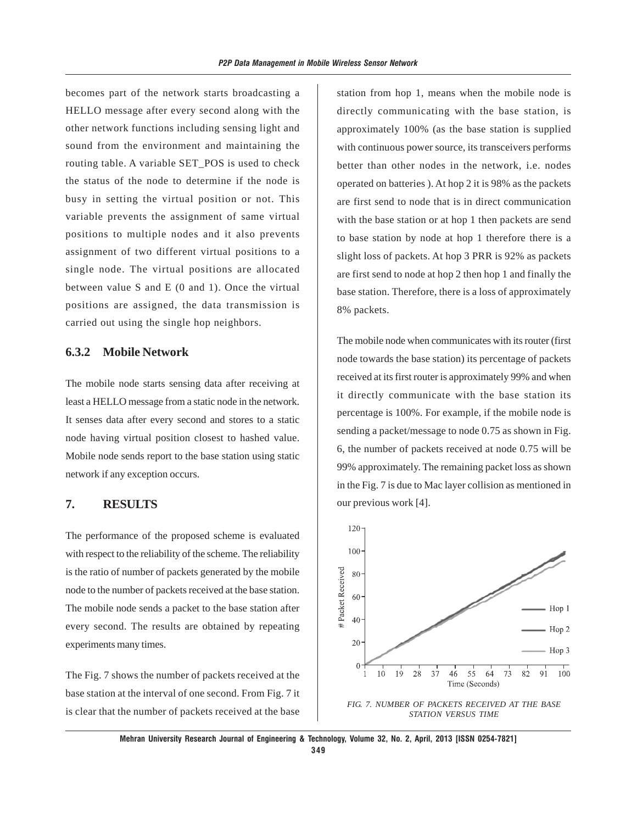becomes part of the network starts broadcasting a HELLO message after every second along with the other network functions including sensing light and sound from the environment and maintaining the routing table. A variable SET\_POS is used to check the status of the node to determine if the node is busy in setting the virtual position or not. This variable prevents the assignment of same virtual positions to multiple nodes and it also prevents assignment of two different virtual positions to a single node. The virtual positions are allocated between value S and E (0 and 1). Once the virtual positions are assigned, the data transmission is carried out using the single hop neighbors.

### **6.3.2 Mobile Network**

The mobile node starts sensing data after receiving at least a HELLO message from a static node in the network. It senses data after every second and stores to a static node having virtual position closest to hashed value. Mobile node sends report to the base station using static network if any exception occurs.

### **7. RESULTS**

The performance of the proposed scheme is evaluated with respect to the reliability of the scheme. The reliability is the ratio of number of packets generated by the mobile node to the number of packets received at the base station. The mobile node sends a packet to the base station after every second. The results are obtained by repeating experiments many times.

The Fig. 7 shows the number of packets received at the base station at the interval of one second. From Fig. 7 it is clear that the number of packets received at the base station from hop 1, means when the mobile node is directly communicating with the base station, is approximately 100% (as the base station is supplied with continuous power source, its transceivers performs better than other nodes in the network, i.e. nodes operated on batteries ). At hop 2 it is 98% as the packets are first send to node that is in direct communication with the base station or at hop 1 then packets are send to base station by node at hop 1 therefore there is a slight loss of packets. At hop 3 PRR is 92% as packets are first send to node at hop 2 then hop 1 and finally the base station. Therefore, there is a loss of approximately 8% packets.

The mobile node when communicates with its router (first node towards the base station) its percentage of packets received at its first router is approximately 99% and when it directly communicate with the base station its percentage is 100%. For example, if the mobile node is sending a packet/message to node 0.75 as shown in Fig. 6, the number of packets received at node 0.75 will be 99% approximately. The remaining packet loss as shown in the Fig. 7 is due to Mac layer collision as mentioned in our previous work [4].



*FIG. 7. NUMBER OF PACKETS RECEIVED AT THE BASE STATION VERSUS TIME*

**Mehran University Research Journal of Engineering & Technology, Volume 32, No. 2, April, 2013 [ISSN 0254-7821] 349**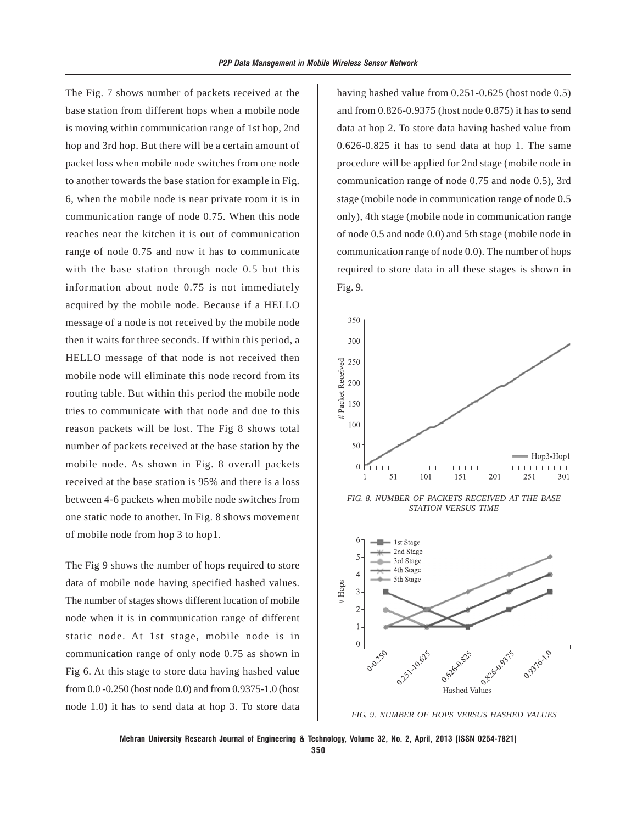The Fig. 7 shows number of packets received at the base station from different hops when a mobile node is moving within communication range of 1st hop, 2nd hop and 3rd hop. But there will be a certain amount of packet loss when mobile node switches from one node to another towards the base station for example in Fig. 6, when the mobile node is near private room it is in communication range of node 0.75. When this node reaches near the kitchen it is out of communication range of node 0.75 and now it has to communicate with the base station through node 0.5 but this information about node 0.75 is not immediately acquired by the mobile node. Because if a HELLO message of a node is not received by the mobile node then it waits for three seconds. If within this period, a HELLO message of that node is not received then mobile node will eliminate this node record from its routing table. But within this period the mobile node tries to communicate with that node and due to this reason packets will be lost. The Fig 8 shows total number of packets received at the base station by the mobile node. As shown in Fig. 8 overall packets received at the base station is 95% and there is a loss between 4-6 packets when mobile node switches from one static node to another. In Fig. 8 shows movement of mobile node from hop 3 to hop1.

The Fig 9 shows the number of hops required to store data of mobile node having specified hashed values. The number of stages shows different location of mobile node when it is in communication range of different static node. At 1st stage, mobile node is in communication range of only node 0.75 as shown in Fig 6. At this stage to store data having hashed value from 0.0 -0.250 (host node 0.0) and from 0.9375-1.0 (host node 1.0) it has to send data at hop 3. To store data *FIG. 9. NUMBER OF HOPS VERSUS HASHED VALUES*

having hashed value from 0.251-0.625 (host node 0.5) and from 0.826-0.9375 (host node 0.875) it has to send data at hop 2. To store data having hashed value from 0.626-0.825 it has to send data at hop 1. The same procedure will be applied for 2nd stage (mobile node in communication range of node 0.75 and node 0.5), 3rd stage (mobile node in communication range of node 0.5 only), 4th stage (mobile node in communication range of node 0.5 and node 0.0) and 5th stage (mobile node in communication range of node 0.0). The number of hops required to store data in all these stages is shown in Fig. 9.



*FIG. 8. NUMBER OF PACKETS RECEIVED AT THE BASE STATION VERSUS TIME*



**Mehran University Research Journal of Engineering & Technology, Volume 32, No. 2, April, 2013 [ISSN 0254-7821] 350**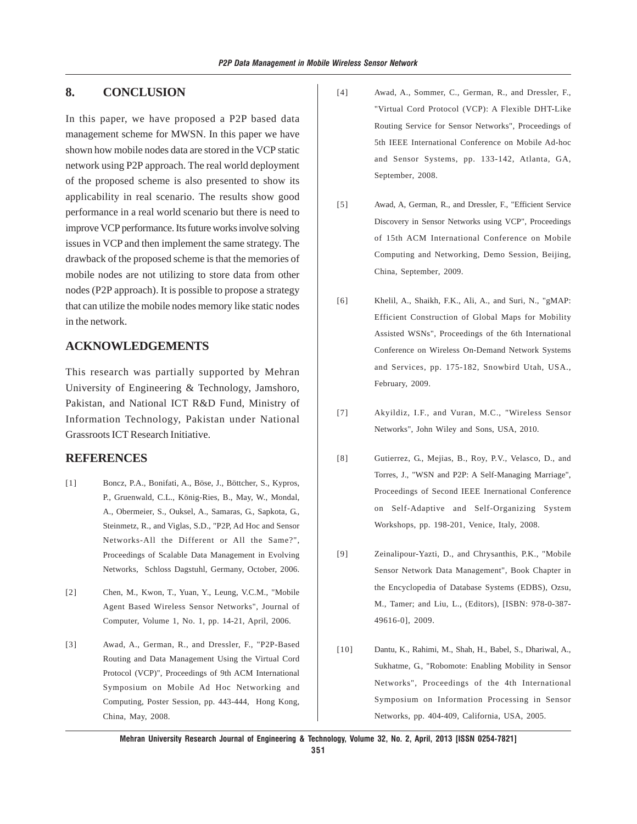### **8. CONCLUSION**

In this paper, we have proposed a P2P based data management scheme for MWSN. In this paper we have shown how mobile nodes data are stored in the VCP static network using P2P approach. The real world deployment of the proposed scheme is also presented to show its applicability in real scenario. The results show good performance in a real world scenario but there is need to improve VCP performance. Its future works involve solving issues in VCP and then implement the same strategy. The drawback of the proposed scheme is that the memories of mobile nodes are not utilizing to store data from other nodes (P2P approach). It is possible to propose a strategy that can utilize the mobile nodes memory like static nodes in the network.

### **ACKNOWLEDGEMENTS**

This research was partially supported by Mehran University of Engineering & Technology, Jamshoro, Pakistan, and National ICT R&D Fund, Ministry of Information Technology, Pakistan under National Grassroots ICT Research Initiative.

#### **REFERENCES**

- [1] Boncz, P.A., Bonifati, A., Böse, J., Böttcher, S., Kypros, P., Gruenwald, C.L., König-Ries, B., May, W., Mondal, A., Obermeier, S., Ouksel, A., Samaras, G., Sapkota, G., Steinmetz, R., and Viglas, S.D., "P2P, Ad Hoc and Sensor Networks-All the Different or All the Same?", Proceedings of Scalable Data Management in Evolving Networks, Schloss Dagstuhl, Germany, October, 2006.
- [2] Chen, M., Kwon, T., Yuan, Y., Leung, V.C.M., "Mobile Agent Based Wireless Sensor Networks", Journal of Computer, Volume 1, No. 1, pp. 14-21, April, 2006.
- [3] Awad, A., German, R., and Dressler, F., "P2P-Based Routing and Data Management Using the Virtual Cord Protocol (VCP)", Proceedings of 9th ACM International Symposium on Mobile Ad Hoc Networking and Computing, Poster Session, pp. 443-444, Hong Kong, China, May, 2008.
- [4] Awad, A., Sommer, C., German, R., and Dressler, F., "Virtual Cord Protocol (VCP): A Flexible DHT-Like Routing Service for Sensor Networks", Proceedings of 5th IEEE International Conference on Mobile Ad-hoc and Sensor Systems, pp. 133-142, Atlanta, GA, September, 2008.
- [5] Awad, A, German, R., and Dressler, F., "Efficient Service Discovery in Sensor Networks using VCP", Proceedings of 15th ACM International Conference on Mobile Computing and Networking, Demo Session, Beijing, China, September, 2009.
- [6] Khelil, A., Shaikh, F.K., Ali, A., and Suri, N., "gMAP: Efficient Construction of Global Maps for Mobility Assisted WSNs", Proceedings of the 6th International Conference on Wireless On-Demand Network Systems and Services, pp. 175-182, Snowbird Utah, USA., February, 2009.
- [7] Akyildiz, I.F., and Vuran, M.C., "Wireless Sensor Networks", John Wiley and Sons, USA, 2010.
- [8] Gutierrez, G., Mejias, B., Roy, P.V., Velasco, D., and Torres, J., "WSN and P2P: A Self-Managing Marriage", Proceedings of Second IEEE Inernational Conference on Self-Adaptive and Self-Organizing System Workshops, pp. 198-201, Venice, Italy, 2008.
- [9] Zeinalipour-Yazti, D., and Chrysanthis, P.K., "Mobile Sensor Network Data Management", Book Chapter in the Encyclopedia of Database Systems (EDBS), Ozsu, M., Tamer; and Liu, L., (Editors), [ISBN: 978-0-387- 49616-0], 2009.
- [10] Dantu, K., Rahimi, M., Shah, H., Babel, S., Dhariwal, A., Sukhatme, G., "Robomote: Enabling Mobility in Sensor Networks", Proceedings of the 4th International Symposium on Information Processing in Sensor Networks, pp. 404-409, California, USA, 2005.

**Mehran University Research Journal of Engineering & Technology, Volume 32, No. 2, April, 2013 [ISSN 0254-7821]**